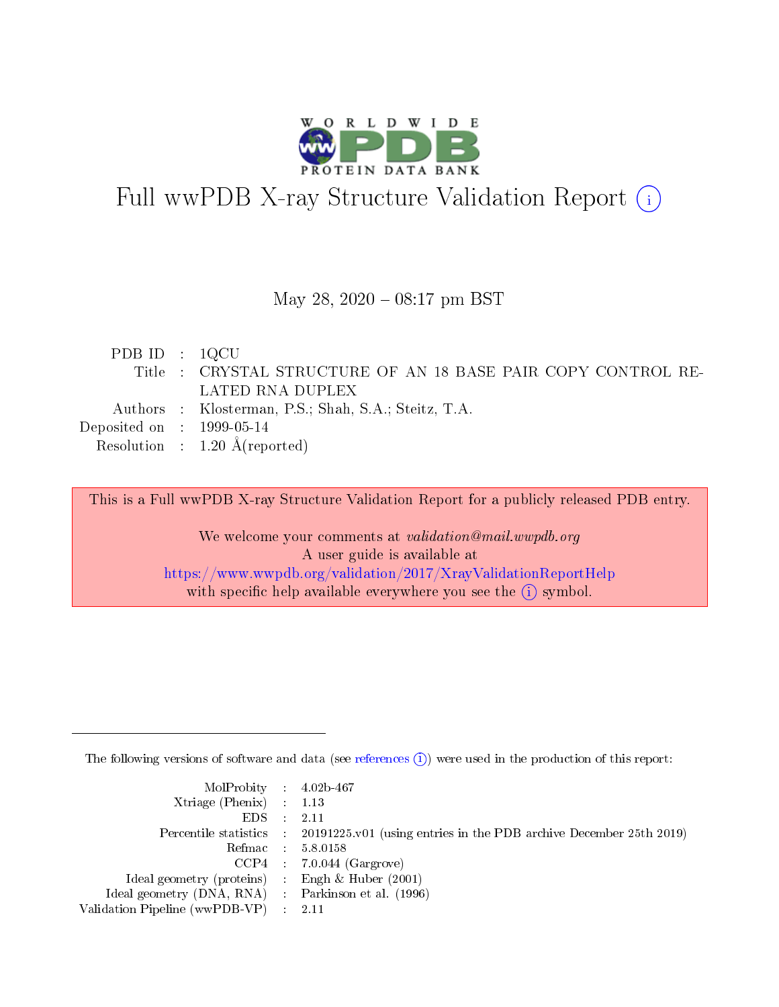

# Full wwPDB X-ray Structure Validation Report (i)

### May 28, 2020 - 08:17 pm BST

| PDB ID : $1QCU$             |                                                              |
|-----------------------------|--------------------------------------------------------------|
|                             | Title: CRYSTAL STRUCTURE OF AN 18 BASE PAIR COPY CONTROL RE- |
|                             | LATED RNA DUPLEX                                             |
|                             | Authors : Klosterman, P.S.; Shah, S.A.; Steitz, T.A.         |
| Deposited on : $1999-05-14$ |                                                              |
|                             | Resolution : $1.20 \text{ Å}$ (reported)                     |

This is a Full wwPDB X-ray Structure Validation Report for a publicly released PDB entry.

We welcome your comments at validation@mail.wwpdb.org A user guide is available at <https://www.wwpdb.org/validation/2017/XrayValidationReportHelp> with specific help available everywhere you see the  $(i)$  symbol.

The following versions of software and data (see [references](https://www.wwpdb.org/validation/2017/XrayValidationReportHelp#references)  $(i)$ ) were used in the production of this report:

| $MolProbability$ 4.02b-467                          |                                                                                            |
|-----------------------------------------------------|--------------------------------------------------------------------------------------------|
| Xtriage (Phenix) $: 1.13$                           |                                                                                            |
| $EDS$ :                                             | -2.11                                                                                      |
|                                                     | Percentile statistics : 20191225.v01 (using entries in the PDB archive December 25th 2019) |
|                                                     | Refmac : 5.8.0158                                                                          |
|                                                     | $CCP4$ : 7.0.044 (Gargrove)                                                                |
| Ideal geometry (proteins) : Engh $\&$ Huber (2001)  |                                                                                            |
| Ideal geometry (DNA, RNA) : Parkinson et al. (1996) |                                                                                            |
| Validation Pipeline (wwPDB-VP)                      | -2.11                                                                                      |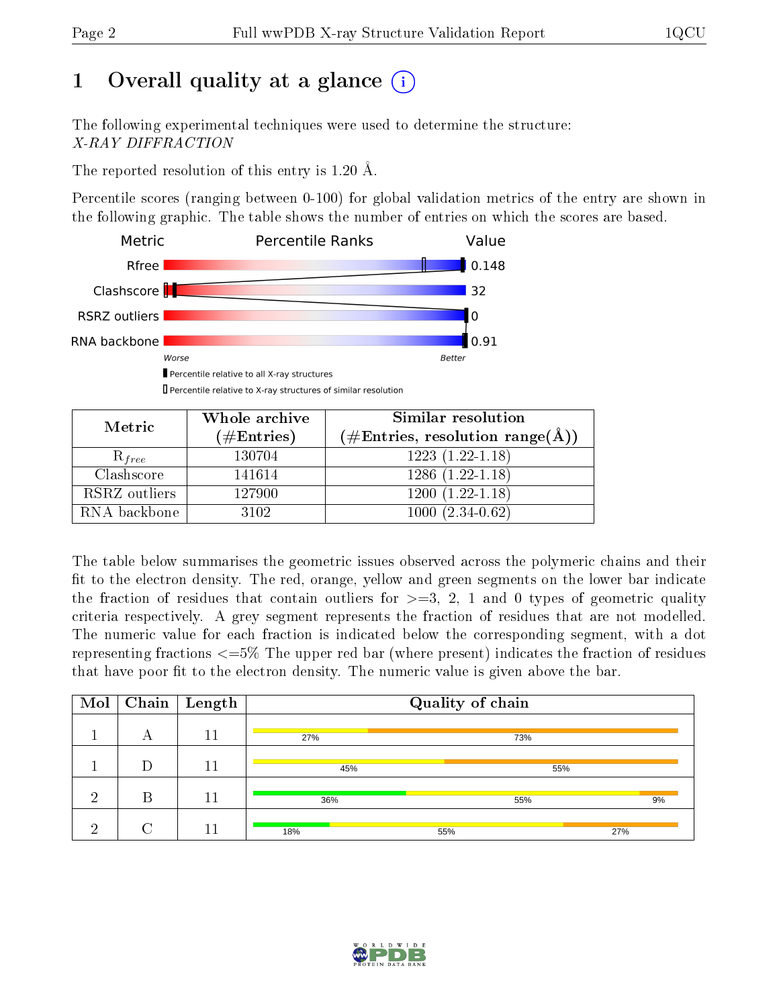# 1 [O](https://www.wwpdb.org/validation/2017/XrayValidationReportHelp#overall_quality)verall quality at a glance  $(i)$

The following experimental techniques were used to determine the structure: X-RAY DIFFRACTION

The reported resolution of this entry is 1.20 Å.

Percentile scores (ranging between 0-100) for global validation metrics of the entry are shown in the following graphic. The table shows the number of entries on which the scores are based.



Percentile relative to X-ray structures of similar resolution

| Metric        | Whole archive        | Similar resolution                 |  |  |  |  |
|---------------|----------------------|------------------------------------|--|--|--|--|
|               | $(\#\text{Entries})$ | $(\#Entries, resolution range(A))$ |  |  |  |  |
| $R_{free}$    | 130704               | $1223(1.22-1.18)$                  |  |  |  |  |
| Clashscore    | 141614               | $1286(1.22-1.18)$                  |  |  |  |  |
| RSRZ outliers | 127900               | $1200(1.22-1.18)$                  |  |  |  |  |
| RNA backbone  | 3102                 | $1000(2.34-0.62)$                  |  |  |  |  |

The table below summarises the geometric issues observed across the polymeric chains and their fit to the electron density. The red, orange, yellow and green segments on the lower bar indicate the fraction of residues that contain outliers for  $\geq=3$ , 2, 1 and 0 types of geometric quality criteria respectively. A grey segment represents the fraction of residues that are not modelled. The numeric value for each fraction is indicated below the corresponding segment, with a dot representing fractions  $\epsilon = 5\%$  The upper red bar (where present) indicates the fraction of residues that have poor fit to the electron density. The numeric value is given above the bar.

| Mol |   | $\overline{\mid}$ Chain $\mid$ Length | Quality of chain |     |     |  |  |  |
|-----|---|---------------------------------------|------------------|-----|-----|--|--|--|
|     | А | 11                                    | 27%              | 73% |     |  |  |  |
|     | D | 11                                    | 45%              |     | 55% |  |  |  |
| ച   | B | 11                                    | 36%              | 55% | 9%  |  |  |  |
| റ   | ⌒ | 11                                    | 18%              | 55% | 27% |  |  |  |

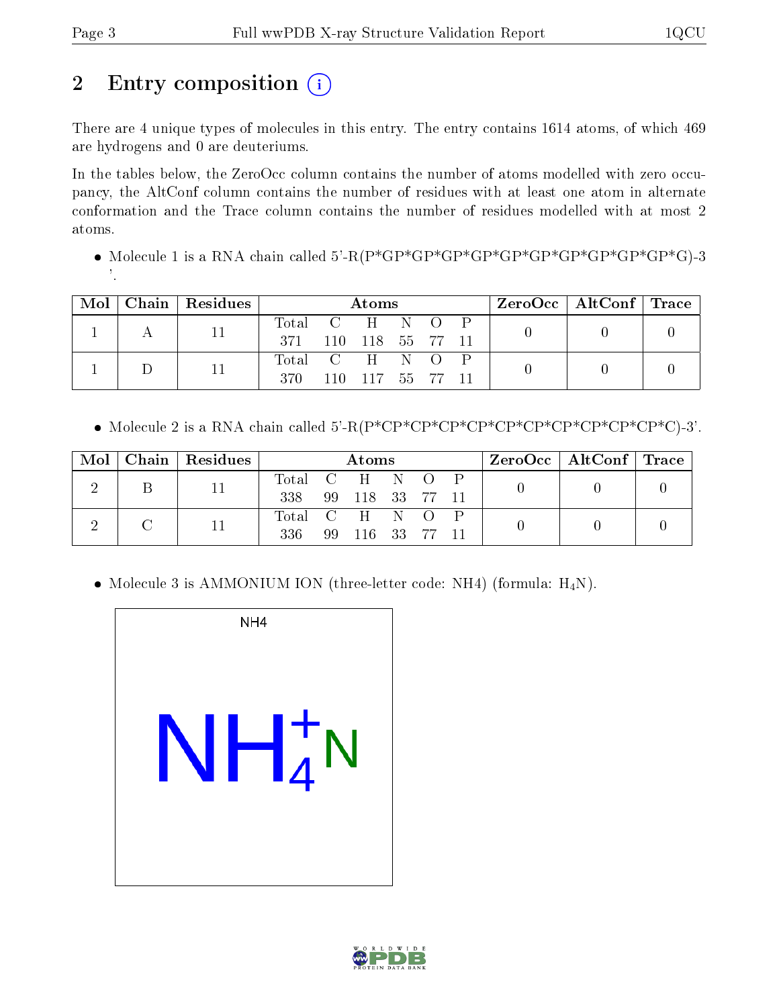# 2 Entry composition  $\left( \cdot \right)$

There are 4 unique types of molecules in this entry. The entry contains 1614 atoms, of which 469 are hydrogens and 0 are deuteriums.

In the tables below, the ZeroOcc column contains the number of atoms modelled with zero occupancy, the AltConf column contains the number of residues with at least one atom in alternate conformation and the Trace column contains the number of residues modelled with at most 2 atoms.

 Molecule 1 is a RNA chain called 5'-R(P\*GP\*GP\*GP\*GP\*GP\*GP\*GP\*GP\*GP\*GP\*G)-3 '.

|  | $Mol$   Chain   Residues | Atoms                                   |      |        |  | $\rm ZeroOcc \mid AltConf \mid Trace$ |  |  |
|--|--------------------------|-----------------------------------------|------|--------|--|---------------------------------------|--|--|
|  |                          | Total C H N O P<br>371 110 118 55 77 11 |      |        |  |                                       |  |  |
|  |                          | Total C H N O P<br>370                  | 110- | 117 55 |  |                                       |  |  |

• Molecule 2 is a RNA chain called  $5'$ -R(P\*CP\*CP\*CP\*CP\*CP\*CP\*CP\*CP\*CP\*CP+C)-3'.

| $\operatorname{Mol}$ |  | Chain   Residues    | Atoms         |              |  |  | $\text{ZeroOcc}$   AltConf   Trace |  |  |
|----------------------|--|---------------------|---------------|--------------|--|--|------------------------------------|--|--|
|                      |  |                     | Total C H N O |              |  |  |                                    |  |  |
|                      |  | 338 99 118 33 77 11 |               |              |  |  |                                    |  |  |
|                      |  |                     | Total C H N O |              |  |  |                                    |  |  |
|                      |  | 336                 |               | 99 116 33 77 |  |  |                                    |  |  |

• Molecule 3 is AMMONIUM ION (three-letter code: NH4) (formula:  $H_4N$ ).



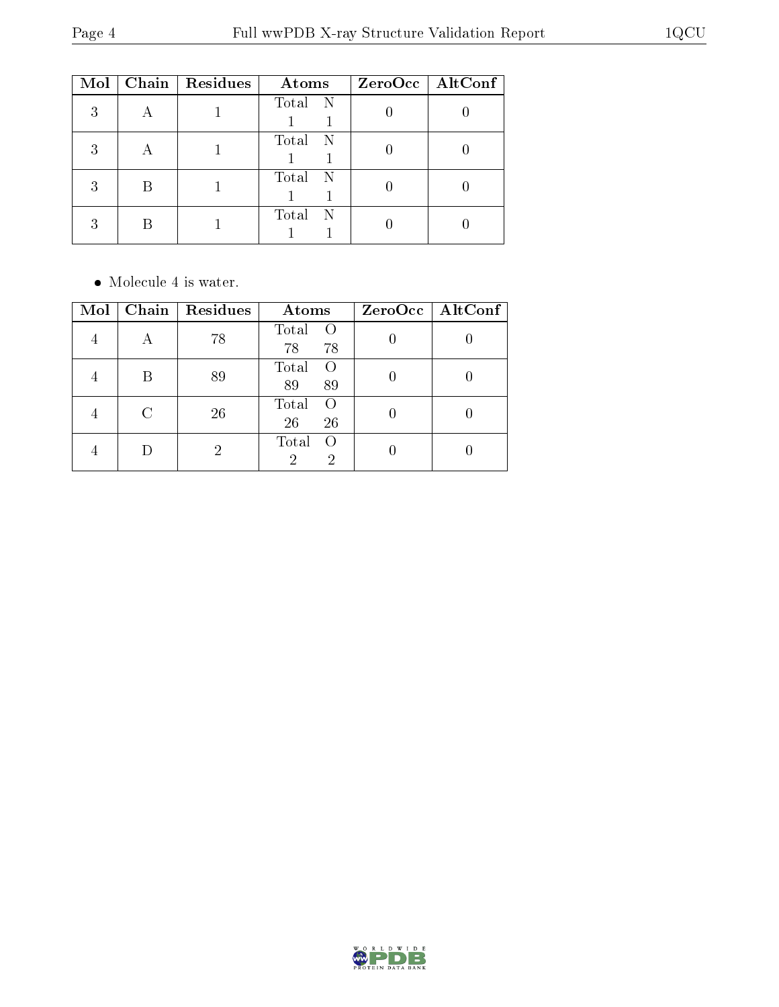| Mol | Chain Residues | Atoms        | $ZeroOcc$   AltConf |
|-----|----------------|--------------|---------------------|
| 3   |                | Total N      |                     |
| 3   |                | Total N      |                     |
| 3   |                | Total N      |                     |
| २   |                | Total<br>- N |                     |

• Molecule 4 is water.

| Mol | Chain   $Residues$ | Atoms                                            | $ZeroOcc$   AltConf |
|-----|--------------------|--------------------------------------------------|---------------------|
|     | 78                 | Total<br>$\Omega$<br>78<br>78                    |                     |
|     | 89                 | Total<br>89<br>89                                |                     |
|     | 26                 | Total<br>$\left( \right)$<br>26<br>26            |                     |
|     |                    | Total<br>$\left( \right)$<br>$\overline{2}$<br>2 |                     |

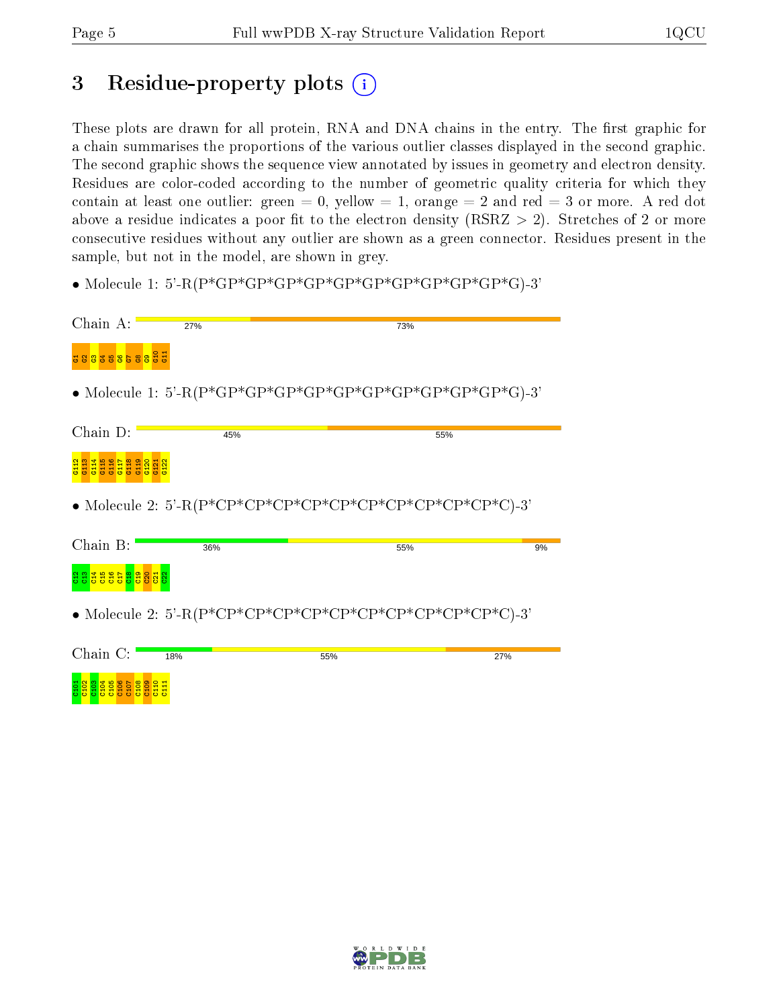# 3 Residue-property plots  $(i)$

These plots are drawn for all protein, RNA and DNA chains in the entry. The first graphic for a chain summarises the proportions of the various outlier classes displayed in the second graphic. The second graphic shows the sequence view annotated by issues in geometry and electron density. Residues are color-coded according to the number of geometric quality criteria for which they contain at least one outlier: green  $= 0$ , yellow  $= 1$ , orange  $= 2$  and red  $= 3$  or more. A red dot above a residue indicates a poor fit to the electron density (RSRZ  $> 2$ ). Stretches of 2 or more consecutive residues without any outlier are shown as a green connector. Residues present in the sample, but not in the model, are shown in grey.

• Molecule 1: 5'-R(P\*GP\*GP\*GP\*GP\*GP\*GP\*GP\*GP\*GP\*GP\*G)-3'

| Chain A:                                | 27% | 73%                                                         |     |
|-----------------------------------------|-----|-------------------------------------------------------------|-----|
| G10<br>88388588<br>$\blacksquare$       |     |                                                             |     |
|                                         |     |                                                             |     |
| Chain D:                                | 45% | 55%                                                         |     |
| G <sub>115</sub><br><u>gg</u> ggggg     |     |                                                             |     |
|                                         |     | • Molecule 2: 5'-R(P*CP*CP*CP*CP*CP*CP*CP*CP*CP*CP*CP*C)-3' |     |
| Chain B:                                | 36% | 55%                                                         | 9%  |
| <u>g g g g g g g g g g</u>              |     |                                                             |     |
|                                         |     | • Molecule 2: 5'-R(P*CP*CP*CP*CP*CP*CP*CP*CP*CP*CP*CP*C)-3' |     |
| Chain $C:$                              | 18% | 55%                                                         | 27% |
| <b>C105</b><br>C106<br>ases and<br>C104 |     |                                                             |     |

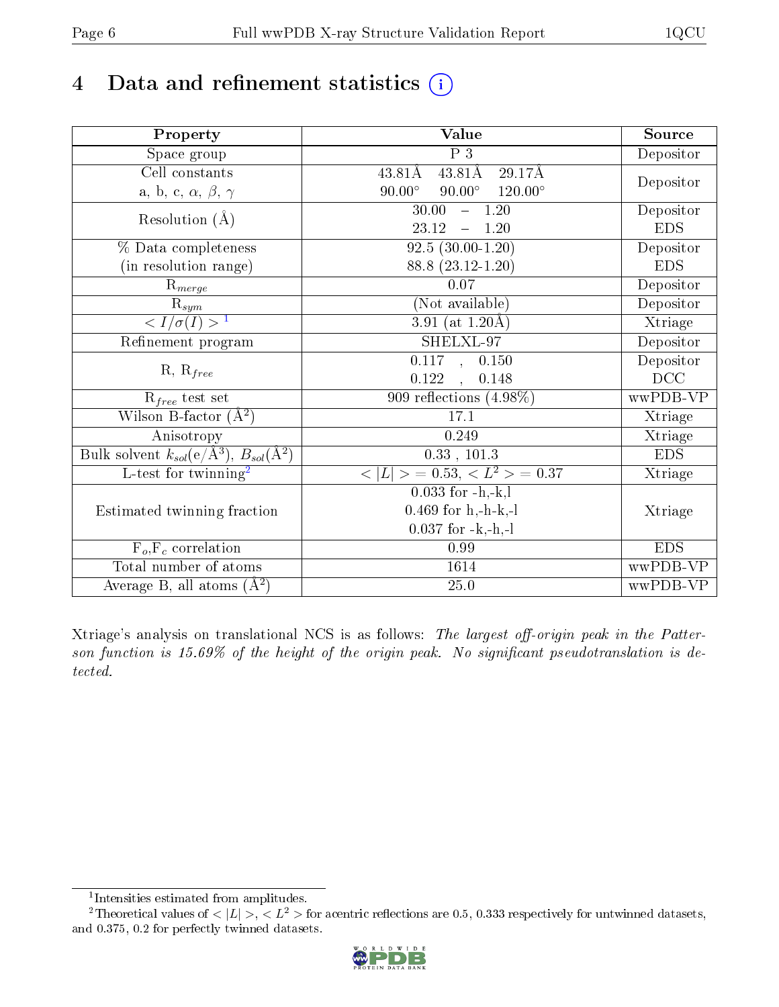# 4 Data and refinement statistics  $(i)$

| Property                                                         | Value                                                | Source     |
|------------------------------------------------------------------|------------------------------------------------------|------------|
| Space group                                                      | P <sub>3</sub>                                       | Depositor  |
| $\overline{\text{Cell}}$ constants                               | $43.81\text{\AA}$<br>$29.17\text{\AA}$<br>43.81Å     |            |
| a, b, c, $\alpha$ , $\beta$ , $\gamma$                           | $90.00^\circ$<br>$90.00^{\circ}$<br>$120.00^{\circ}$ | Depositor  |
| Resolution $(\AA)$                                               | 30.00<br>$-1.20$                                     | Depositor  |
|                                                                  | 23.12<br>$-1.20$                                     | <b>EDS</b> |
| % Data completeness                                              | $92.5(30.00-1.20)$                                   | Depositor  |
| (in resolution range)                                            | 88.8 (23.12-1.20)                                    | <b>EDS</b> |
| $R_{merge}$                                                      | $0.07\,$                                             | Depositor  |
| $\bar{\mathrm{R}}_{\underline{sym}}$                             | (Not available)                                      | Depositor  |
| $\langle I/\sigma(I) \rangle^{-1}$                               | $3.91$ (at 1.20Å)                                    | Xtriage    |
| Refinement program                                               | SHELXL-97                                            | Depositor  |
| $R, R_{free}$                                                    | 0.117, 0.150                                         | Depositor  |
|                                                                  | 0.122, 0.148                                         | DCC        |
| $R_{free}$ test set                                              | 909 reflections $(4.98\%)$                           | wwPDB-VP   |
| Wilson B-factor $(A^2)$                                          | 17.1                                                 | Xtriage    |
| Anisotropy                                                       | 0.249                                                | Xtriage    |
| Bulk solvent $k_{sol}(\text{e}/\text{A}^3), B_{sol}(\text{A}^2)$ | 0.33, 101.3                                          | <b>EDS</b> |
| $\overline{L-test for }$ twinning <sup>2</sup>                   | $< L >$ = 0.53, $< L2$ > = 0.37                      | Xtriage    |
|                                                                  | $0.033$ for $-h,-k,l$                                |            |
| Estimated twinning fraction                                      | $0.469$ for h,-h-k,-l                                | Xtriage    |
|                                                                  | $0.037$ for $-k,-h,-l$                               |            |
| $F_o, F_c$ correlation                                           | 0.99                                                 | <b>EDS</b> |
| Total number of atoms                                            | 1614                                                 | wwPDB-VP   |
| Average B, all atoms $(A^2)$                                     | 25.0                                                 | wwPDB-VP   |

Xtriage's analysis on translational NCS is as follows: The largest off-origin peak in the Patterson function is  $15.69\%$  of the height of the origin peak. No significant pseudotranslation is detected.

<sup>&</sup>lt;sup>2</sup>Theoretical values of  $\langle |L| \rangle$ ,  $\langle L^2 \rangle$  for acentric reflections are 0.5, 0.333 respectively for untwinned datasets, and 0.375, 0.2 for perfectly twinned datasets.



<span id="page-5-1"></span><span id="page-5-0"></span><sup>1</sup> Intensities estimated from amplitudes.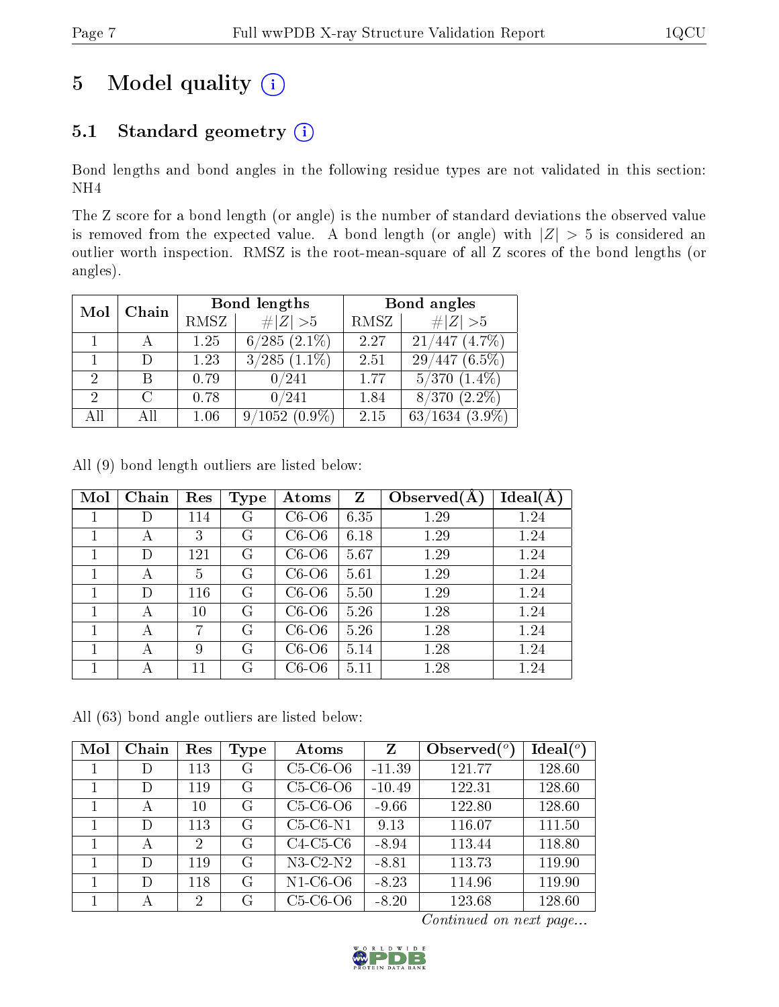# 5 Model quality  $(i)$

## 5.1 Standard geometry (i)

Bond lengths and bond angles in the following residue types are not validated in this section: NH4

The Z score for a bond length (or angle) is the number of standard deviations the observed value is removed from the expected value. A bond length (or angle) with  $|Z| > 5$  is considered an outlier worth inspection. RMSZ is the root-mean-square of all Z scores of the bond lengths (or angles).

| Mol                         | Chain         |      | Bond lengths      | Bond angles |                     |  |
|-----------------------------|---------------|------|-------------------|-------------|---------------------|--|
|                             |               | RMSZ | $\# Z  > 5$       | RMSZ        | # $ Z >5$           |  |
|                             |               | 1.25 | $6/285$ $(2.1\%)$ | 2.27        | $(4.7\%)$<br>21/447 |  |
|                             |               | 1.23 | $3/285$ $(1.1\%)$ | 2.51        | $29/447(6.5\%)$     |  |
| $\overline{2}$              | R             | 0.79 | 0/241             | 1.77        | $5/370$ $(1.4\%)$   |  |
| $\mathcal{D}_{\mathcal{L}}$ | $\mathcal{C}$ | 0.78 | 0/241             | 1.84        | $(2.2\%)$<br>8/370  |  |
| All                         | AП            | 1.06 | $9/1052(0.9\%)$   | 2.15        | $63/1634$ $(3.9\%)$ |  |

All (9) bond length outliers are listed below:

| Mol | Chain | Res | <b>Type</b> | Atoms    | Z    | Observed $(A)$ | $Ideal(\AA)$ |
|-----|-------|-----|-------------|----------|------|----------------|--------------|
|     | D     | 114 | G           | $C6-06$  | 6.35 | 1.29           | 1.24         |
| 1   | А     | 3   | G           | $C6--O6$ | 6.18 | 1.29           | 1.24         |
| 1   | D     | 121 | G           | $C6--$   | 5.67 | 1.29           | 1.24         |
|     | А     | 5   | G           | $C6--O6$ | 5.61 | 1.29           | 1.24         |
| 1   | D)    | 116 | G           | $C6--O6$ | 5.50 | 1.29           | 1.24         |
| 1   | А     | 10  | G           | $C6--$   | 5.26 | 1.28           | 1.24         |
|     | А     | 7   | G           | $C6--$   | 5.26 | 1.28           | 1.24         |
| 1   | А     | 9   | G           | $C6--$   | 5.14 | 1.28           | 1.24         |
|     |       | 11  | G           | $C6--O6$ | 5.11 | 1.28           | 1.24         |

All (63) bond angle outliers are listed below:

| Mol | Chain  | Res | Type | Atoms      | $Z_{\rm}$ | Observed $(°)$ | Ideal $(°)$ |
|-----|--------|-----|------|------------|-----------|----------------|-------------|
|     | D      | 113 | G    | $C5-C6-O6$ | $-11.39$  | 121.77         | 128.60      |
|     | D      | 119 | G    | $C5-C6-O6$ | $-10.49$  | 122.31         | 128.60      |
|     | А      | 10  | G    | $C5-C6-O6$ | $-9.66$   | 122.80         | 128.60      |
|     | D      | 113 | G    | $C5-C6-N1$ | 9.13      | 116.07         | 111.50      |
|     | А      | 2   | G    | $C4-C5-C6$ | $-8.94$   | 113.44         | 118.80      |
|     | $\Box$ | 119 | G    | $N3-C2-N2$ | $-8.81$   | 113.73         | 119.90      |
|     | D      | 118 | G    | $N1-C6-O6$ | $-8.23$   | 114.96         | 119.90      |
|     | А      | 2   | G    | $C5-C6-O6$ | $-8.20$   | 123.68         | 128.60      |

Continued on next page...

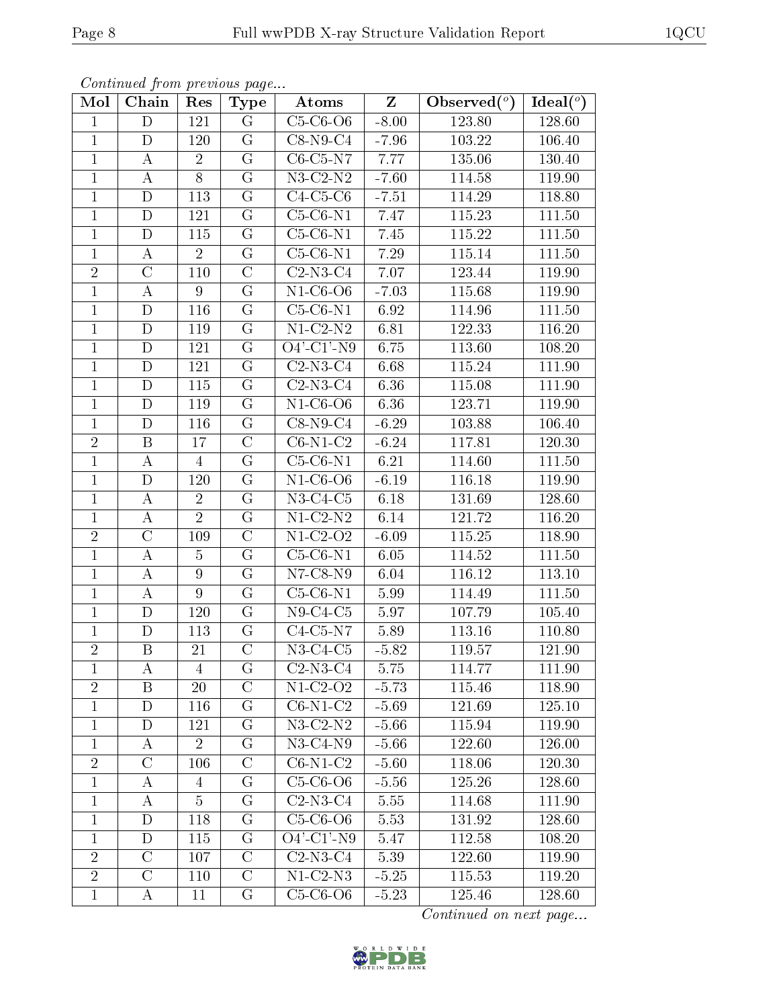| $\mathbf{rved}({}^o)$ | Ideal $(°)$ |
|-----------------------|-------------|
|                       |             |

| Continued from previous page |  |  |
|------------------------------|--|--|

| Mol            | Chain                   | Res              | <b>Type</b>        | Atoms                        | $\mathbf{Z}$ | Observed $(°)$ | $\overline{\text{Ideal}}({}^o)$ |
|----------------|-------------------------|------------------|--------------------|------------------------------|--------------|----------------|---------------------------------|
| $\mathbf{1}$   | D                       | 121              | $G_{\mathbb{C}}$   | $C5-C6-O6$                   | $-8.00$      | 123.80         | 128.60                          |
| $\mathbf{1}$   | $\mathbf D$             | 120              | G                  | $C8-N9-C4$                   | $-7.96$      | 103.22         | 106.40                          |
| $\mathbf{1}$   | А                       | $\overline{2}$   | $\overline{G}$     | $C6-C5-N7$                   | 7.77         | 135.06         | 130.40                          |
| $\mathbf 1$    | $\bf{A}$                | 8                | $G\,$              | $N3-C2-N2$                   | $-7.60$      | 114.58         | 119.90                          |
| $\mathbf{1}$   | D                       | 113              | $G\$               | $C4-C5-C6$                   | $-7.51$      | 114.29         | 118.80                          |
| $\mathbf{1}$   | $\mathbf D$             | 121              | ${\rm G}$          | $C5-C6-N1$                   | 7.47         | 115.23         | 111.50                          |
| $\mathbf{1}$   | D                       | 115              | G                  | $C5-C6-N1$                   | 7.45         | 115.22         | 111.50                          |
| $\mathbf{1}$   | $\bf{A}$                | $\overline{2}$   | $\overline{G}$     | $C5-C6-N1$                   | 7.29         | 115.14         | 111.50                          |
| $\overline{2}$ | $\mathcal{C}$           | 110              | $\mathcal{C}$      | $C2-N3-C4$                   | 7.07         | 123.44         | 119.90                          |
| $\mathbf{1}$   | $\bf{A}$                | $9\phantom{.}$   | $\overline{G}$     | $N1-C6-O6$                   | $-7.03$      | 115.68         | 119.90                          |
| $\mathbf 1$    | D                       | 116              | $G\$               | $C5-C6-N1$                   | 6.92         | 114.96         | 111.50                          |
| $\overline{1}$ | $\overline{\rm D}$      | 119              | $\overline{G}$     | $\overline{\text{N1-C2-N2}}$ | 6.81         | 122.33         | 116.20                          |
| $\mathbf{1}$   | D                       | 121              | $G\$               | $O4'$ -C1'-N9                | 6.75         | 113.60         | 108.20                          |
| $\mathbf{1}$   | $\mathbf D$             | 121              | G                  | $C2-N3-C4$                   | 6.68         | 115.24         | 111.90                          |
| $\mathbf{1}$   | D                       | 115              | G                  | $C2-N3-C4$                   | 6.36         | 115.08         | 111.90                          |
| $\mathbf{1}$   | $\mathbf D$             | 119              | G                  | $N1-C6-O6$                   | 6.36         | 123.71         | 119.90                          |
| $\mathbf{1}$   | D                       | 116              | G                  | $C8-N9-C4$                   | $-6.29$      | 103.88         | 106.40                          |
| $\sqrt{2}$     | $\boldsymbol{B}$        | 17               | $\overline{C}$     | $C6-N1-C2$                   | $-6.24$      | 117.81         | 120.30                          |
| $\mathbf{1}$   | $\bf{A}$                | $\overline{4}$   | G                  | $C5-C6-N1$                   | 6.21         | 114.60         | 111.50                          |
| $\mathbf{1}$   | D                       | 120              | G                  | $N1-C6-O6$                   | $-6.19$      | 116.18         | 119.90                          |
| $\mathbf{1}$   | $\bf{A}$                | $\overline{2}$   | G                  | $N3-C4-C5$                   | 6.18         | 131.69         | 128.60                          |
| $\mathbf{1}$   | $\bf{A}$                | $\overline{2}$   | $\overline{G}$     | $N1-C2-N2$                   | 6.14         | 121.72         | 116.20                          |
| $\sqrt{2}$     | $\mathcal{C}$           | 109              | $\mathcal{C}$      | $N1-C2-O2$                   | $-6.09$      | 115.25         | 118.90                          |
| $\mathbf{1}$   | $\bf{A}$                | $\overline{5}$   | G                  | $C5-C6-N1$                   | 6.05         | 114.52         | $111.50\,$                      |
| $\mathbf{1}$   | $\bf{A}$                | $\boldsymbol{9}$ | $\overline{G}$     | $N7$ -C8- $N9$               | 6.04         | 116.12         | 113.10                          |
| $\mathbf{1}$   | $\bf{A}$                | $9\phantom{.}$   | G                  | $C5-C6-N1$                   | 5.99         | 114.49         | 111.50                          |
| $\overline{1}$ | $\mathbf D$             | 120              | $\overline{G}$     | $N9-C4-C5$                   | 5.97         | 107.79         | 105.40                          |
| $\mathbf{1}$   | D                       | 113              | G                  | $C4-C5-N7$                   | 5.89         | 113.16         | 110.80                          |
| $\overline{2}$ | $\overline{\mathrm{B}}$ | 21               | $\overline{\rm C}$ | $N3-C4-C5$                   | $-5.82$      | 119.57         | 121.90                          |
| $\perp$        | A                       | 4                | G                  | $C2-N3-C4$                   | 5.75         | 114.77         | 111.90                          |
| $\overline{2}$ | $\boldsymbol{B}$        | 20               | $\overline{C}$     | $N1-C2-O2$                   | $-5.73$      | 115.46         | 118.90                          |
| $\mathbf{1}$   | D                       | 116              | $G\$               | $C6-N1-C2$                   | $-5.69$      | 121.69         | 125.10                          |
| $\mathbf{1}$   | D                       | 121              | $\rm G$            | $N3-C2-N2$                   | $-5.66$      | 115.94         | 119.90                          |
| $\mathbf{1}$   | A                       | $\overline{2}$   | $\rm G$            | $N3-C4-N9$                   | $-5.66$      | 122.60         | 126.00                          |
| $\sqrt{2}$     | $\mathcal{C}$           | 106              | $\overline{C}$     | $C6-N1-C2$                   | $-5.60$      | 118.06         | 120.30                          |
| $\mathbf{1}$   | A                       | 4                | G                  | $C5-C6-O6$                   | $-5.56$      | 125.26         | 128.60                          |
| $\mathbf{1}$   | A                       | 5                | $G\$               | $C2-N3-C4$                   | 5.55         | 114.68         | 111.90                          |
| $\mathbf{1}$   | D                       | 118              | G                  | $C5-C6-O6$                   | 5.53         | 131.92         | 128.60                          |
| $\mathbf{1}$   | D                       | 115              | G                  | $O4'$ -C1'-N9                | 5.47         | 112.58         | 108.20                          |
| $\overline{2}$ | $\mathcal{C}$           | 107              | $\mathcal C$       | $C2-N3-C4$                   | 5.39         | 122.60         | 119.90                          |
| $\overline{2}$ | $\mathcal{C}$           | 110              | $\overline{C}$     | $N1-C2-N3$                   | $-5.25$      | 115.53         | 119.20                          |
| $\mathbf 1$    | A                       | 11               | G                  | $C5-C6-O6$                   | $-5.23$      | 125.46         | 128.60                          |

Continued on next page...

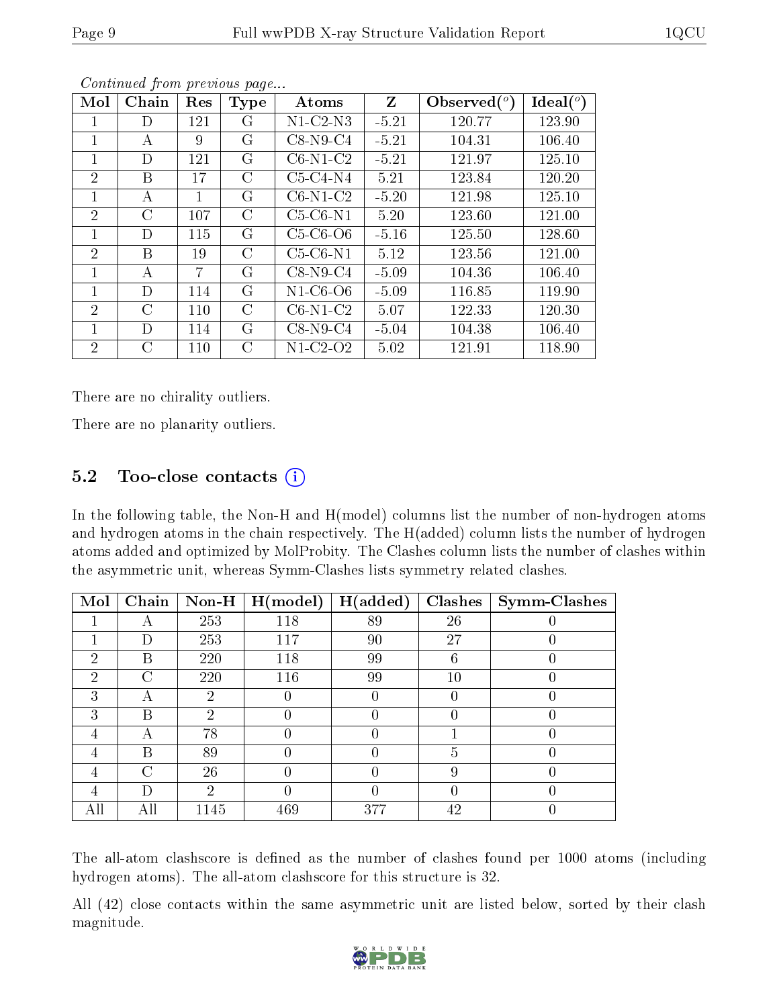| Mol            | Chain   | Res     | <b>Type</b> | Atoms          | Z       | Observed $(°)$ | Ideal $(°)$ |
|----------------|---------|---------|-------------|----------------|---------|----------------|-------------|
| 1              | D       | 121     | G           | $N1$ -C2- $N3$ | $-5.21$ | 120.77         | 123.90      |
| 1              | A       | 9       | G           | $C8-N9-C4$     | $-5.21$ | 104.31         | 106.40      |
| 1              | D       | 121     | G           | $C6-N1-C2$     | $-5.21$ | 121.97         | 125.10      |
| $\overline{2}$ | В       | 17      | C           | $C5-C4-N4$     | 5.21    | 123.84         | 120.20      |
| 1              | А       | 1       | G           | $C6-N1-C2$     | $-5.20$ | 121.98         | 125.10      |
| $\overline{2}$ | $\rm C$ | 107     | C           | $C5-C6-N1$     | 5.20    | 123.60         | 121.00      |
| 1              | D       | 115     | G           | $C5-C6-O6$     | $-5.16$ | 125.50         | 128.60      |
| $\overline{2}$ | В       | 19      | C           | $C5-C6-N1$     | 5.12    | 123.56         | 121.00      |
| 1              | А       | 7       | G           | $C8-N9-C4$     | $-5.09$ | 104.36         | 106.40      |
| 1              | D       | 114     | G           | N1-C6-O6       | $-5.09$ | 116.85         | 119.90      |
| $\overline{2}$ | С       | 110     | C           | $C6-N1-C2$     | 5.07    | 122.33         | 120.30      |
| 1              | D       | 114     | G           | $C8-N9-C4$     | $-5.04$ | 104.38         | 106.40      |
| 2              | С       | $110\,$ | C           | N1-C2-O2       | 5.02    | 121.91         | 118.90      |

Continued from previous page...

There are no chirality outliers.

There are no planarity outliers.

## 5.2 Too-close contacts  $(i)$

In the following table, the Non-H and H(model) columns list the number of non-hydrogen atoms and hydrogen atoms in the chain respectively. The H(added) column lists the number of hydrogen atoms added and optimized by MolProbity. The Clashes column lists the number of clashes within the asymmetric unit, whereas Symm-Clashes lists symmetry related clashes.

| Mol | Chain | Non-H         | H (model) | H(added) | <b>Clashes</b> | Symm-Clashes |
|-----|-------|---------------|-----------|----------|----------------|--------------|
|     | А     | 253           | 118       | 89       | 26             |              |
|     | D     | 253           | 117       | 90       | 27             |              |
| 2   | В     | 220           | 118       | 99       | 6              |              |
| 2   | C     | 220           | 116       | 99       | 10             |              |
| 3   | А     | $\mathcal{D}$ |           |          |                |              |
| 3   | В     | $\mathcal{D}$ |           |          |                |              |
| 4   | А     | 78            |           |          |                |              |
| 4   | B     | 89            |           |          | 5              |              |
| 4   | C     | 26            |           |          | 9              |              |
| 4   | Ð     | $\mathcal{D}$ | 0         |          |                |              |
|     | All   | 1145          | 469       | 377      | 42             |              |

The all-atom clashscore is defined as the number of clashes found per 1000 atoms (including hydrogen atoms). The all-atom clashscore for this structure is 32.

All (42) close contacts within the same asymmetric unit are listed below, sorted by their clash magnitude.

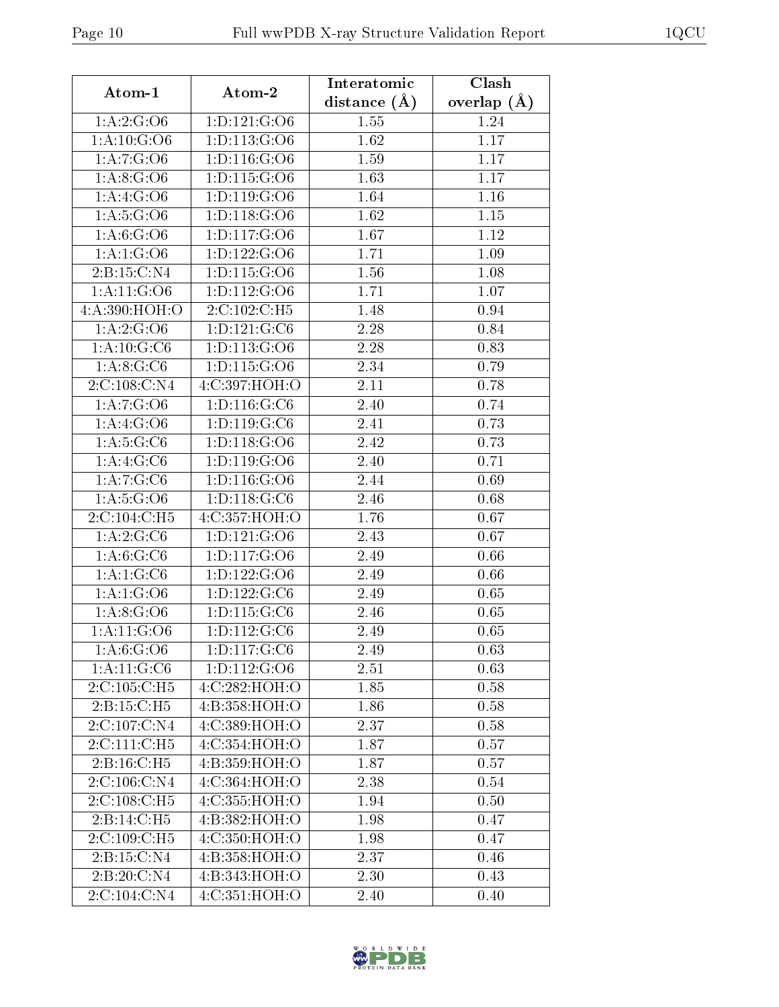| Atom-1                       | Atom-2                        | Interatomic      | Clash         |
|------------------------------|-------------------------------|------------------|---------------|
|                              |                               | distance $(\AA)$ | overlap $(A)$ |
| 1:A:2:G:O6                   | 1: D: 121: G: O6              | 1.55             | 1.24          |
| 1: A: 10: G: O6              | 1:D:113:G:O6                  | 1.62             | 1.17          |
| 1: A: 7: G: 06               | 1:D:116:G:O6                  | 1.59             | 1.17          |
| 1: A:8: G:O6                 | 1: D: 115: G: O6              | 1.63             | 1.17          |
| 1: A:4: G: O6                | 1: D: 119: G: O6              | 1.64             | 1.16          |
| 1: A: 5: G: O6               | 1: D: 118: G: O6              | 1.62             | 1.15          |
| 1: A:6: G: O6                | 1: D: 117: G: O6              | 1.67             | 1.12          |
| 1:A:1:G:O6                   | 1:D:122:G:O6                  | 1.71             | 1.09          |
| 2:B:15:C:N4                  | 1: D: 115: G: O6              | 1.56             | 1.08          |
| 1: A: 11: G: O6              | 1: D: 112: G: 06              | 1.71             | 1.07          |
| 4:A:390:HOH:O                | 2:C:102:C:H5                  | 1.48             | 0.94          |
| 1: A:2: G:O6                 | 1: D: 121: G: C6              | 2.28             | 0.84          |
| 1:A:10:G:C6                  | 1:D:113:G:O6                  | 2.28             | 0.83          |
| $1:A:8:\overline{G:C6}$      | 1:D:115:G:O6                  | 2.34             | 0.79          |
| 2:C:108:C:N4                 | 4:C:397:HOH:O                 | 2.11             | 0.78          |
| 1: A: 7: G: O6               | 1:D:116:G:C6                  | 2.40             | 0.74          |
| 1: A:4: G: O6                | 1: D: 119: G: C6              | 2.41             | 0.73          |
| 1: A:5: G:C6                 | 1: D: 118: G: O6              | 2.42             | 0.73          |
| 1:A:4:G:C6                   | 1:D:119:G:O6                  | 2.40             | 0.71          |
| 1: A:7:G:C6                  | 1:D:116:G:O6                  | 2.44             | 0.69          |
| 1: A: 5: G: O6               | 1: D: 118: G: C6              | 2.46             | 0.68          |
| 2: C: 104: C: H5             | 4:C:357:HOH:O                 | 1.76             | 0.67          |
| 1:A:2:G:C6                   | 1:D:121:G:O6                  | 2.43             | 0.67          |
| 1: A:6: G: C6                | 1:D:117:G:O6                  | 2.49             | 0.66          |
| 1:A:1:G:C6                   | 1:D:122:G:O6                  | 2.49             | 0.66          |
| 1: A: 1: G: O6               | 1: D: 122: G: C6              | 2.49             | 0.65          |
| 1: A:8: G:O6                 | $1: D: 115: \overline{G: C6}$ | 2.46             | 0.65          |
| 1: A: 11: G: O6              | 1: D: 112: G: C6              | 2.49             | 0.65          |
| 1: A:6: G:O6                 | 1: D: 117: G: C6              | 2.49             | 0.63          |
| $1:A:11:\overline{G:C6}$     | 1:D:112:G:O6                  | 2.51             | 0.63          |
| 2:C:105:C:H5                 | 4:C:282:HOH:O                 | 1.85             | 0.58          |
| 2:B:15:C:H5                  | 4:B:358:HOH:O                 | 1.86             | 0.58          |
| 2:C:107:C:N4                 | 4:C:389:HOH:O                 | 2.37             | 0.58          |
| 2:C:111:C:H5                 | 4:C:354:HOH:O                 | 1.87             | 0.57          |
| $2: B: 16: C: \overline{H5}$ | 4:B:359:HOH:O                 | 1.87             | 0.57          |
| 2:C:106:C:N4                 | 4:C:364:HOH:O                 | 2.38             | 0.54          |
| 2:C:108:C:H5                 | 4:C:355:HOH:O                 | 1.94             | 0.50          |
| 2:B:14:C:H5                  | 4:B:382:HOH:O                 | 1.98             | 0.47          |
| 2:C:109:C:H5                 | 4:C:350:HOH:O                 | 1.98             | 0.47          |
| 2:B:15:C:N4                  | 4:B:358:HOH:O                 | 2.37             | 0.46          |
| 2:B:20:C:N4                  | 4:B:343:HOH:O                 | 2.30             | 0.43          |
| 2:C:104:C:N4                 | 4:C:351:HOH:O                 | 2.40             | 0.40          |

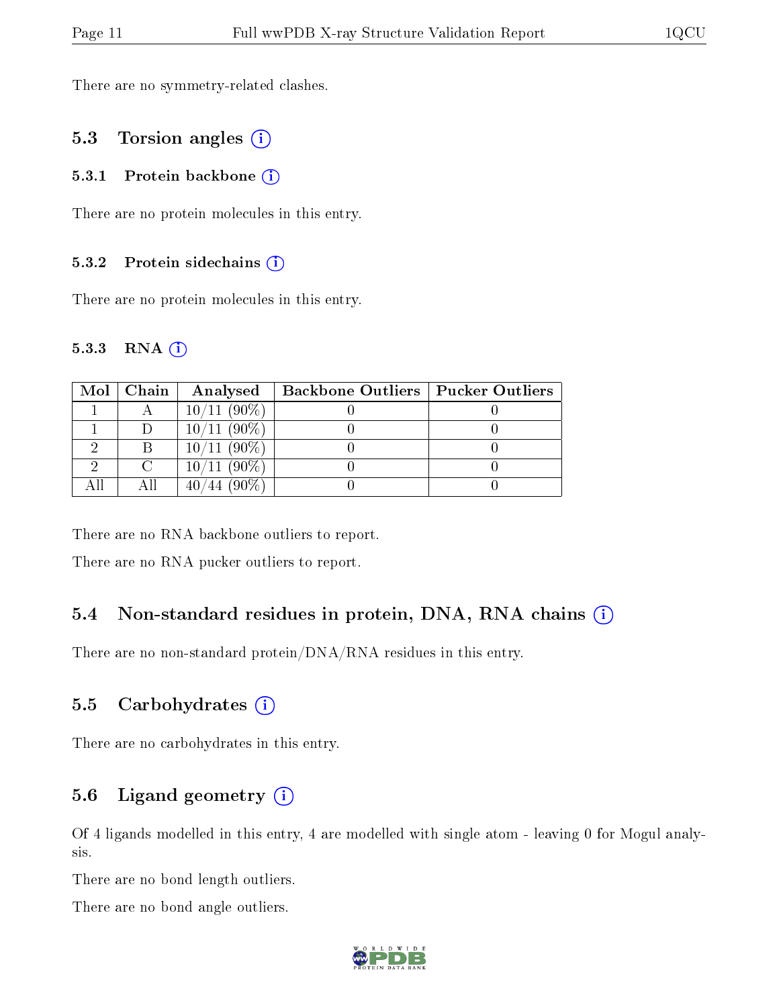There are no symmetry-related clashes.

### 5.3 Torsion angles (i)

#### 5.3.1 Protein backbone (i)

There are no protein molecules in this entry.

#### 5.3.2 Protein sidechains  $(i)$

There are no protein molecules in this entry.

#### 5.3.3 RNA (1)

| Mol | $\mid$ Chain | Analysed       | <b>Backbone Outliers   Pucker Outliers</b> |  |
|-----|--------------|----------------|--------------------------------------------|--|
|     |              | $10/11(90\%)$  |                                            |  |
|     |              | $10/11(90\%)$  |                                            |  |
|     |              | $10/11(90\%)$  |                                            |  |
|     |              | $10/11$ (90\%) |                                            |  |
|     |              | $(90\%)$       |                                            |  |

There are no RNA backbone outliers to report.

There are no RNA pucker outliers to report.

### 5.4 Non-standard residues in protein, DNA, RNA chains (i)

There are no non-standard protein/DNA/RNA residues in this entry.

#### 5.5 Carbohydrates  $(i)$

There are no carbohydrates in this entry.

### 5.6 Ligand geometry  $(i)$

Of 4 ligands modelled in this entry, 4 are modelled with single atom - leaving 0 for Mogul analysis.

There are no bond length outliers.

There are no bond angle outliers.

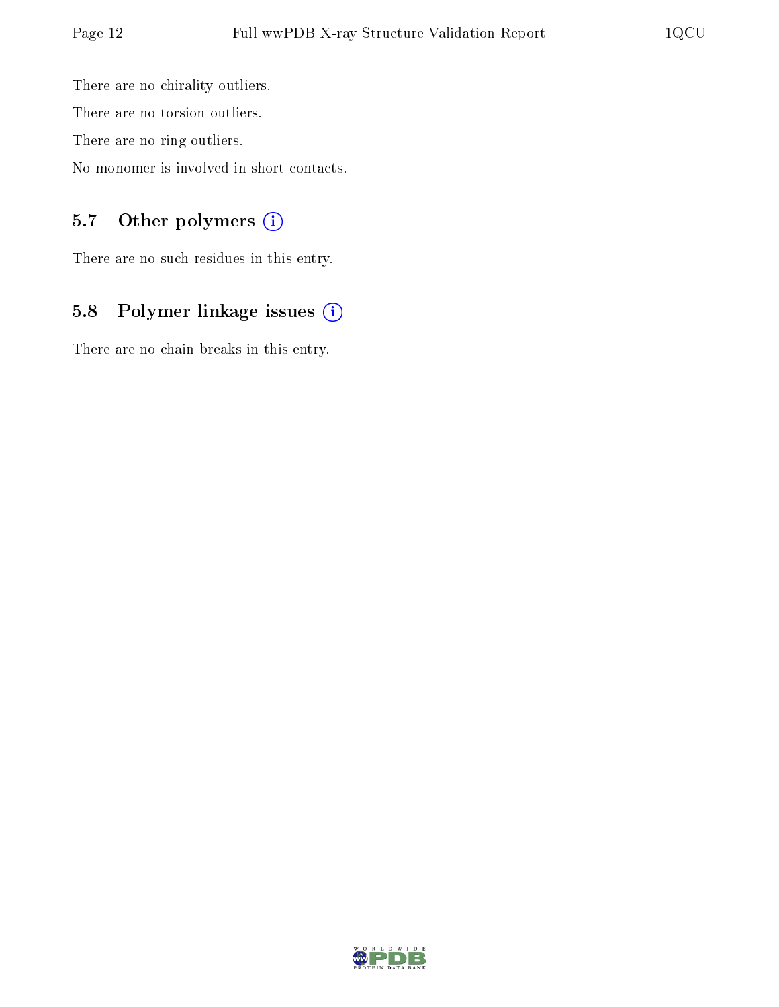There are no chirality outliers. There are no torsion outliers. There are no ring outliers.

No monomer is involved in short contacts.

## 5.7 [O](https://www.wwpdb.org/validation/2017/XrayValidationReportHelp#nonstandard_residues_and_ligands)ther polymers (i)

There are no such residues in this entry.

## 5.8 Polymer linkage issues (i)

There are no chain breaks in this entry.

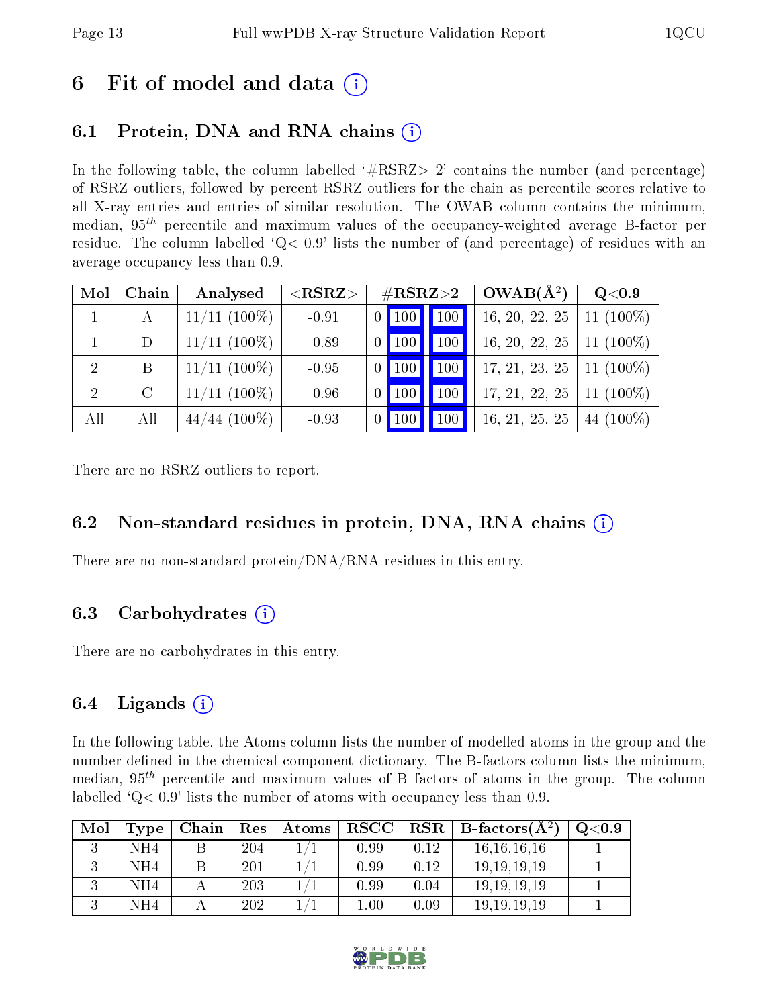# 6 Fit of model and data  $\left( \cdot \right)$

# 6.1 Protein, DNA and RNA chains (i)

In the following table, the column labelled  $#RSRZ>2'$  contains the number (and percentage) of RSRZ outliers, followed by percent RSRZ outliers for the chain as percentile scores relative to all X-ray entries and entries of similar resolution. The OWAB column contains the minimum, median,  $95<sup>th</sup>$  percentile and maximum values of the occupancy-weighted average B-factor per residue. The column labelled  $Q < 0.9$  lists the number of (and percentage) of residues with an average occupancy less than 0.9.

| Mol            | Chain   | Analysed        | $<$ RSRZ $>$ |                 | $\rm \#RSRZ{>}2$    |     | $OWAB(A^2)$    | Q <sub>0.9</sub> |
|----------------|---------|-----------------|--------------|-----------------|---------------------|-----|----------------|------------------|
|                | A       | $11/11$ (100\%) | $-0.91$      |                 | 0   100   100       |     | 16, 20, 22, 25 | 11 $(100\%)$     |
|                | D       | $11/11$ (100%)  | $-0.89$      | $\vert 0 \vert$ | $\vert$ 100 $\vert$ | 100 | 16, 20, 22, 25 | 11 $(100\%)$     |
| $\overline{2}$ | B       | $11/11$ (100%)  | $-0.95$      | $\vert 0 \vert$ | $\vert$ 100 $\vert$ | 100 | 17, 21, 23, 25 | 11 $(100\%)$     |
| $\overline{2}$ | $\rm C$ | $11/11$ (100%)  | $-0.96$      | $\overline{0}$  | $ 100\rangle$       | 100 | 17, 21, 22, 25 | 11 $(100\%)$     |
| All            | All     | $44/44$ (100%)  | $-0.93$      | $\vert 0 \vert$ | $ 100\rangle$       | 100 | 16, 21, 25, 25 | 44 $(100\%)$     |

There are no RSRZ outliers to report.

## 6.2 Non-standard residues in protein, DNA, RNA chains (i)

There are no non-standard protein/DNA/RNA residues in this entry.

## 6.3 Carbohydrates (i)

There are no carbohydrates in this entry.

## 6.4 Ligands  $(i)$

In the following table, the Atoms column lists the number of modelled atoms in the group and the number defined in the chemical component dictionary. The B-factors column lists the minimum, median,  $95<sup>th</sup>$  percentile and maximum values of B factors of atoms in the group. The column labelled  $Q< 0.9$ ' lists the number of atoms with occupancy less than 0.9.

| Mol | Type | Chain | Res | Atoms | $_{\rm RSCC}$            | RSR  | $\perp$ B-factors(A <sup>2)</sup> | $_{\mathrm{Q}< 0.9}$ |
|-----|------|-------|-----|-------|--------------------------|------|-----------------------------------|----------------------|
|     | NH4  |       | 204 |       | 0.99                     | 0.12 | 16, 16, 16, 16                    |                      |
|     | NH4  |       | 201 |       | 0.99                     | 0.12 | 19.19.19.19                       |                      |
|     | NH4  |       | 203 |       | 0.99                     | 0.04 | 19.19.19.19                       |                      |
|     | NH4  |       | 202 |       | $\!\!\!\!\phantom{0}0.0$ | 0.09 | 19, 19, 19, 19                    |                      |